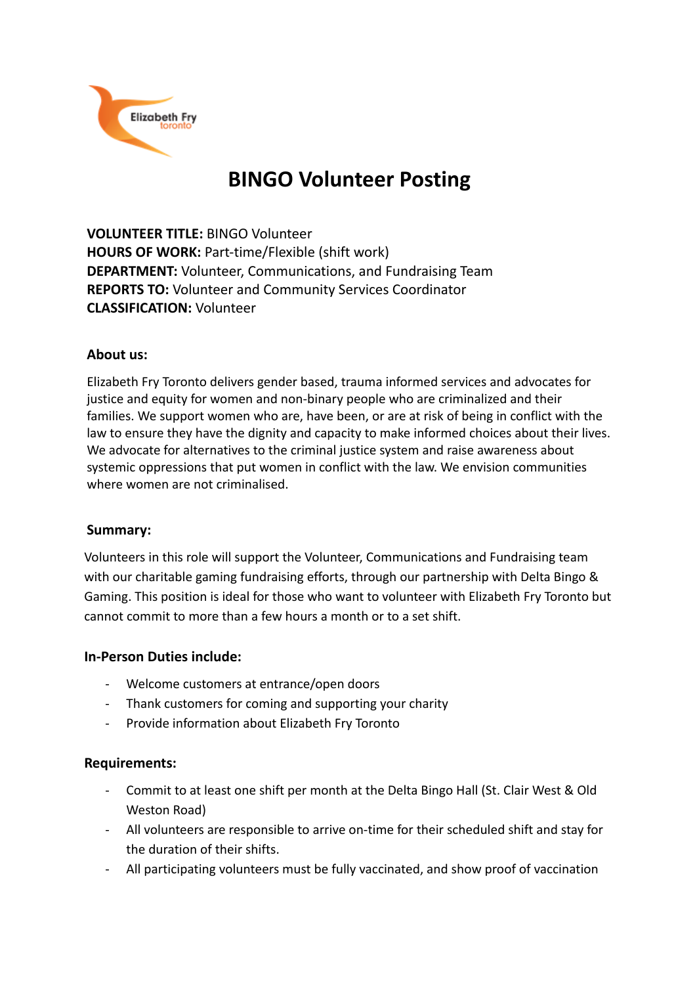

# **BINGO Volunteer Posting**

**VOLUNTEER TITLE:** BINGO Volunteer **HOURS OF WORK:** Part-time/Flexible (shift work) **DEPARTMENT:** Volunteer, Communications, and Fundraising Team **REPORTS TO:** Volunteer and Community Services Coordinator **CLASSIFICATION:** Volunteer

### **About us:**

Elizabeth Fry Toronto delivers gender based, trauma informed services and advocates for justice and equity for women and non-binary people who are criminalized and their families. We support women who are, have been, or are at risk of being in conflict with the law to ensure they have the dignity and capacity to make informed choices about their lives. We advocate for alternatives to the criminal justice system and raise awareness about systemic oppressions that put women in conflict with the law. We envision communities where women are not criminalised.

# **Summary:**

Volunteers in this role will support the Volunteer, Communications and Fundraising team with our charitable gaming fundraising efforts, through our partnership with Delta Bingo & Gaming. This position is ideal for those who want to volunteer with Elizabeth Fry Toronto but cannot commit to more than a few hours a month or to a set shift.

#### **In-Person Duties include:**

- Welcome customers at entrance/open doors
- Thank customers for coming and supporting your charity
- Provide information about Elizabeth Fry Toronto

# **Requirements:**

- Commit to at least one shift per month at the Delta Bingo Hall (St. Clair West & Old Weston Road)
- All volunteers are responsible to arrive on-time for their scheduled shift and stay for the duration of their shifts.
- All participating volunteers must be fully vaccinated, and show proof of vaccination